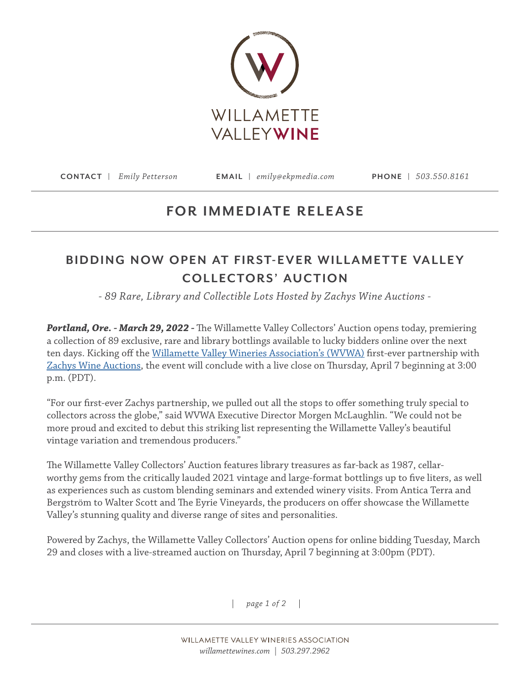

**CONTACT |** *Emily Petterson* **EMAIL |** *emily@ekpmedia.com* **PHONE |** *503.550.8161*

## **FOR IMMEDIATE RELEASE**

## **BIDDING NOW OPEN AT FIRST-EVER WILLAMETTE VALLEY COLLECTORS' AUCTION**

*- 89 Rare, Library and Collectible Lots Hosted by Zachys Wine Auctions -* 

*Portland, Ore. - March 29, 2022 -* The Willamette Valley Collectors' Auction opens today, premiering a collection of 89 exclusive, rare and library bottlings available to lucky bidders online over the next ten days. Kicking off the [Willamette Valley Wineries Association's \(WVWA\)](http://www.willamettewines.com) first-ever partnership with [Zachys Wine Auctions,](https://auction.zachys.com/) the event will conclude with a live close on Thursday, April 7 beginning at 3:00 p.m. (PDT).

"For our first-ever Zachys partnership, we pulled out all the stops to offer something truly special to collectors across the globe," said WVWA Executive Director Morgen McLaughlin. "We could not be more proud and excited to debut this striking list representing the Willamette Valley's beautiful vintage variation and tremendous producers."

The Willamette Valley Collectors' Auction features library treasures as far-back as 1987, cellarworthy gems from the critically lauded 2021 vintage and large-format bottlings up to five liters, as well as experiences such as custom blending seminars and extended winery visits. From Antica Terra and Bergström to Walter Scott and The Eyrie Vineyards, the producers on offer showcase the Willamette Valley's stunning quality and diverse range of sites and personalities.

Powered by Zachys, the Willamette Valley Collectors' Auction opens for online bidding Tuesday, March 29 and closes with a live-streamed auction on Thursday, April 7 beginning at 3:00pm (PDT).

*| page 1 of 2 |*